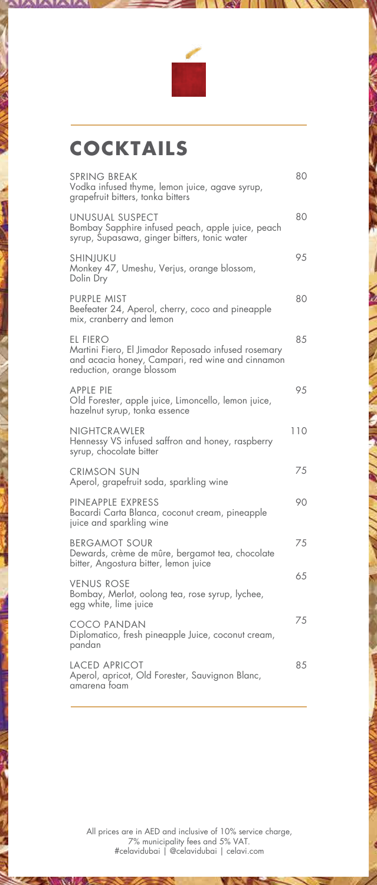

# **COCKTAILS**

| <b>SPRING BREAK</b><br>Vodka infused thyme, lemon juice, agave syrup,<br>grapefruit bitters, tonka bitters                                       | 80  |
|--------------------------------------------------------------------------------------------------------------------------------------------------|-----|
| UNUSUAL SUSPECT<br>Bombay Sapphire infused peach, apple juice, peach<br>syrup, Śupasawa, ginger bitters, tonic water                             | 80  |
| SHINIUKU<br>Monkey 47, Umeshu, Verjus, orange blossom,<br>Dolin Dry                                                                              | 95  |
| PURPLE MIST<br>Beefeater 24, Aperol, cherry, coco and pineapple<br>mix, cranberry and lemon                                                      | 80  |
| EL FIERO<br>Martini Fiero, El Jimador Reposado infused rosemary<br>and acacia honey, Campari, red wine and cinnamon<br>reduction, orange blossom | 85  |
| <b>APPLE PIE</b><br>Old Forester, apple juice, Limoncello, lemon juice,<br>hazelnut syrup, tonka essence                                         | 95  |
| <b>NIGHTCRAWLER</b><br>Hennessy VS infused saffron and honey, raspberry<br>syrup, chocolate bitter                                               | 110 |
| <b>CRIMSON SUN</b><br>Aperol, grapefruit soda, sparkling wine                                                                                    | 75  |
| PINEAPPLE EXPRESS<br>Bacardi Carta Blanca, coconut cream, pineapple<br>juice and sparkling wine                                                  | 90  |
| <b>BERGAMOT SOUR</b><br>Dewards, crème de mûre, bergamot tea, chocolate<br>bitter, Angostura bitter, lemon juice                                 | 75  |
| <b>VENUS ROSE</b><br>Bombay, Merlot, oolong tea, rose syrup, lychee,<br>egg white, lime juice                                                    | 65  |
| COCO PANDAN<br>Diplomatico, fresh pineapple Juice, coconut cream,<br>pandan                                                                      | 75  |
| <b>LACED APRICOT</b><br>Aperol, apricot, Old Forester, Sauvignon Blanc,<br>amarena foam                                                          | 85  |

 $\sim$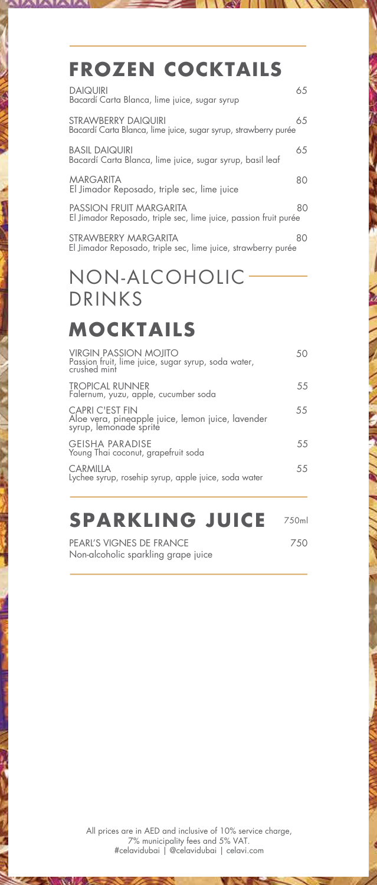# **FROZEN COCKTAILS**

| <b>DAIQUIRI</b><br>Bacardí Carta Blanca, lime juice, sugar syrup                                   | 6.5 |
|----------------------------------------------------------------------------------------------------|-----|
| STRAWBERRY DAIQUIRI<br>Bacardí Carta Blanca, lime juice, sugar syrup, strawberry purée             | 65  |
| <b>BASIL DAIQUIRI</b><br>Bacardí Carta Blanca, lime juice, sugar syrup, basil leaf                 | 65  |
| <b>MARGARITA</b><br>El Jimador Reposado, triple sec, lime juice                                    | 80  |
| <b>PASSION FRUIT MARGARITA</b><br>El Jimador Reposado, triple sec, lime juice, passion fruit purée | 80  |
| STRAWBERRY MARGARITA<br>El Jimador Reposado, triple sec, lime juice, strawberry purée              | 80  |

# NON-ALCOHOLIC DRINKS

### **MOCKTAILS**

| <b>VIRGIN PASSION MOJITO</b><br>Passion fruit, lime juice, sugar syrup, soda water,<br>crushed mint   | 50   |
|-------------------------------------------------------------------------------------------------------|------|
| <b>TROPICAL RUNNER</b><br>Falernum, yuzu, apple, cucumber soda                                        | .5.5 |
| <b>CAPRI C'EST FIN</b><br>Aloe vera, pineapple juice, lemon juice, lavender<br>syrup, lemonade sprite | 55   |
| <b>GEISHA PARADISE</b><br>Young Thai coconut, grapefruit soda                                         | .5.5 |
| <b>CARMILLA</b><br>Lychee syrup, rosehip syrup, apple juice, soda water                               | .5.5 |
|                                                                                                       |      |

#### 750ml **SPARKLING JUICE**

750

PEARL'S VIGNES DE FRANCE Non-alcoholic sparkling grape juice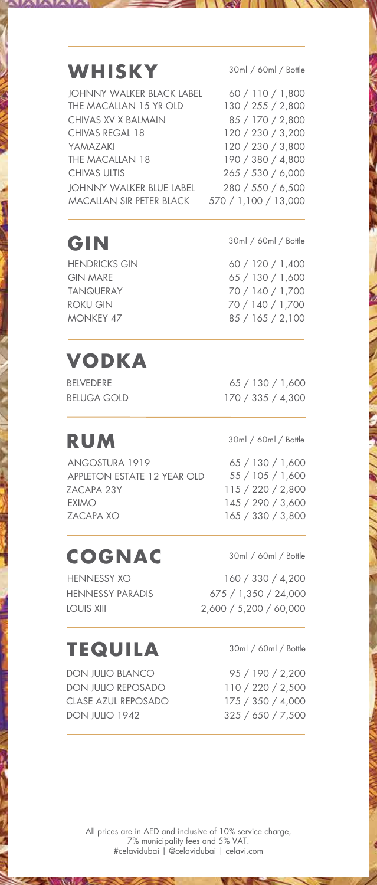#### WHISKY 30ml / 60ml / Bottle

THE MACALLAN 15 YR OLD CHIVAS REGAL 18 120 / 230 / 3,200 YAMAZAKI 120 / 230 / 3,800 CHIVAS XV X BALMAIN 85 / 170 / 2,800 JOHNNY WALKER BLACK LABEL THE MACALLAN 18 190 / 380 / 4,800 CHIVAS ULTIS 265 / 530 / 6,000 JOHNNY WALKER BLUE LABEL 280 / 550 / 6,500 MACALLAN SIR PETER BLACK 570 / 1,100 / 13,000

60 / 110 / 1,800 130 / 255 / 2,800

**GIN**

30ml / 60ml / Bottle

MONKEY 47 85 / 165 / 2,100 GIN MARE 65 / 130 / 1,600 TANQUERAY 70 / 140 / 1,700 ROKU GIN 70 / 140 / 1,700 HENDRICKS GIN 60 / 120 / 1,400

# **VODKA**

BELVEDERE 65 / 130 / 1,600 BELUGA GOLD 170 / 335 / 4,300

**RUM** 

ANGOSTURA 1919 65 / 130 / 1,600 APPLETON ESTATE 12 YEAR OLD EXIMO 145 / 290 / 3,600 ZACAPA 23Y ZACAPA XO

30ml / 60ml / Bottle

55 / 105 / 1,600 115 / 220 / 2,800 165 / 330 / 3,800

### **COGNAC**

HENNESSY XO

### **TEQUILA**

DON JULIO BLANCO 95 / 190 / 2,200 DON JULIO REPOSADO DON JULIO 1942 325 / 650 / 7,500 CLASE AZUL REPOSADO 175 / 350 / 4,000

30ml / 60ml / Bottle

160 / 330 / 4,200 HENNESSY PARADIS 675 / 1,350 / 24,000 LOUIS XIII 2,600 / 5,200 / 60,000

30ml / 60ml / Bottle

110 / 220 / 2,500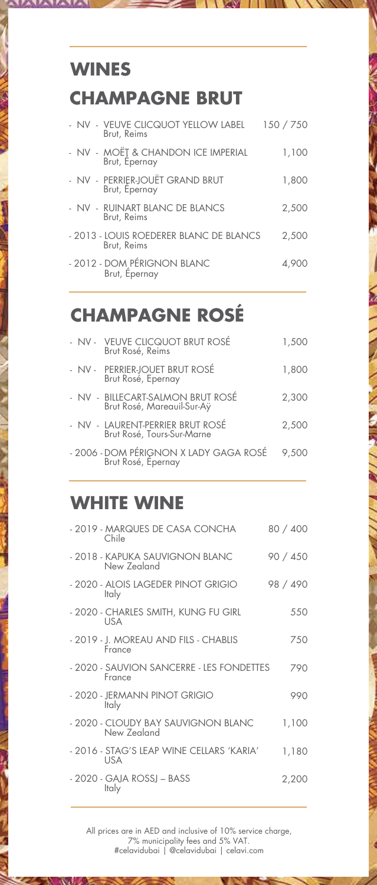# **WINES CHAMPAGNE BRUT**

| - NV - VEUVE CLICQUOT YELLOW LABEL<br>Brut, Reims      | 150 / 750 |
|--------------------------------------------------------|-----------|
| - NV - MOËT & CHANDON ICE IMPERIAL<br>Brut, Epernay    | 1,100     |
| - NV - PERRIER-JOUËT GRAND BRUT<br>Brut, Epernay       | 1,800     |
| - NV - RUINART BLANC DE BLANCS<br>Brut, Reims          | 2,500     |
| - 2013 - LOUIS ROEDERER BLANC DE BLANCS<br>Brut, Reims | 2,500     |
| - 2012 - DOM PÉRIGNON BLANC<br>Brut, Epernay           | 4.900     |
|                                                        |           |

# **CHAMPAGNE ROSÉ**

| - NV - VEUVE CLICQUOT BRUT ROSÉ<br>Brut Rosé, Reims             | 1,500 |
|-----------------------------------------------------------------|-------|
| - NV - PERRIER-JOUET BRUT ROSÉ<br>Brut Rosé, Epernay            | 1,800 |
| - NV - BILLECART-SALMON BRUT ROSÉ<br>Brut Rosé, Mareauil-Sur-Aÿ | 2.300 |
| - NV - LAURENT-PERRIER BRUT ROSÉ<br>Brut Rosé, Tours-Sur-Marne  | 2.500 |
| - 2006 - DOM PÉRIGNON X LADY GAGA ROSÉ<br>Brut Rosé, Epernay    | 9,500 |
|                                                                 |       |

#### **WHITE WINE**

| - 2019 - MARQUES DE CASA CONCHA<br>Chile            | 80 / 400 |
|-----------------------------------------------------|----------|
| - 2018 - KAPUKA SAUVIGNON BLANC<br>New Zealand      | 90/450   |
| - 2020 - ALOIS LAGEDER PINOT GRIGIO<br>Italy        | 98 / 490 |
| - 2020 - CHARLES SMITH, KUNG FU GIRL<br><b>USA</b>  | 550      |
| - 2019 - J. MOREAU AND FILS - CHABLIS<br>France     | 750      |
| - 2020 - SAUVION SANCERRE - LES FONDETTES<br>France | 790      |
| - 2020 - JERMANN PINOT GRIGIO<br>Italy              | 990      |
| - 2020 - CLOUDY BAY SAUVIGNON BLANC<br>New Zealand  | 1,100    |
| - 2016 - STAG'S LEAP WINE CELLARS 'KARIA'<br>USA    | 1,180    |
| - 2020 - GAIA ROSSI – BASS<br>Italy                 | 2,200    |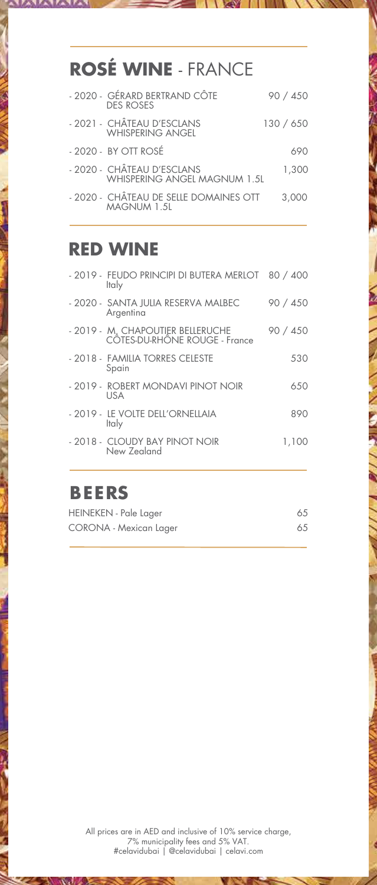# **ROSÉ WINE** - FRANCE

| - 2020 - GÉRARD BERTRAND CÔTE<br>DES ROSES                        | 90 / 450  |
|-------------------------------------------------------------------|-----------|
| - 2021 - CHÂTEAU D'ESCLANS<br><b>WHISPERING ANGEL</b>             | 130 / 650 |
| $-2020 - BY$ OTT ROSÉ                                             | 690       |
| - 2020 - CHÂTEAU D'ESCLANS<br><b>WHISPERING ANGEL MAGNUM 1.5L</b> | 1.300     |
| - 2020 - CHÂTEAU DE SELLE DOMAINES OTT<br>MAGNIJM 1.51            | 3,000     |
|                                                                   |           |

#### **RED WINE**

| - 2019 - FEUDO PRINCIPI DI BUTERA MERLOT 80 / 400<br>Italy         |          |
|--------------------------------------------------------------------|----------|
| - 2020 - SANTA JULIA RESERVA MALBEC<br>Argentina                   | 90 / 450 |
| - 2019 - M. CHAPOUTIER BELLERUCHE<br>CÔTES-DU-RHÔNE ROUGE - France | 90 / 450 |
| - 2018 - FAMILIA TORRES CELESTE<br>Spain                           | 530      |
| - 2019 - ROBERT MONDAVI PINOT NOIR<br>USA                          | 650      |
| - 2019 - LE VOLTE DELL'ORNELLAIA<br>Italy                          | 890      |
| - 2018 - CLOUDY BAY PINOT NOIR<br>New Zealand                      | 1,100    |
| <b>BEERS</b>                                                       |          |

 $\sim$ 

| HEINEKEN - Pale Lager  | 65 |
|------------------------|----|
| CORONA - Mexican Lager | 65 |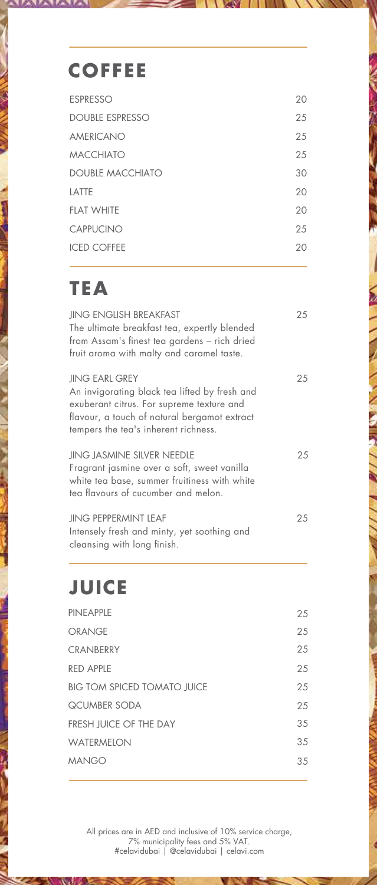### **COFFEE**

| <b>ESPRESSO</b>         | 20 |
|-------------------------|----|
| DOUBLE ESPRESSO         | 25 |
| <b>AMERICANO</b>        | 25 |
| <b>MACCHIATO</b>        | 25 |
| <b>DOUBLE MACCHIATO</b> | 30 |
| <b>I ATTF</b>           | 20 |
| <b>FLAT WHITE</b>       | 20 |
| <b>CAPPUCINO</b>        | 25 |
| <b>ICED COFFEE</b>      | 20 |
|                         |    |

# **TEA**

| <b>JING ENGLISH BREAKFAST</b><br>The ultimate breakfast tea, expertly blended<br>from Assam's finest tea gardens - rich dried<br>fruit aroma with malty and caramel taste.                                  | 25 |
|-------------------------------------------------------------------------------------------------------------------------------------------------------------------------------------------------------------|----|
| <b>JING EARL GREY</b><br>An invigorating black tea lifted by fresh and<br>exuberant citrus. For supreme texture and<br>flavour, a touch of natural bergamot extract<br>tempers the tea's inherent richness. | 25 |
| <b>JING JASMINE SILVER NEEDLE</b><br>Fragrant jasmine over a soft, sweet vanilla<br>white tea base, summer fruitiness with white<br>tea flavours of cucumber and melon.                                     | 25 |
| <b>JING PEPPERMINT LEAF</b><br>Intensely fresh and minty, yet soothing and<br>cleansing with long finish.                                                                                                   | 25 |

 $\frac{1}{2}$ 

**Contract** 

# **JUICE**

| 25  |
|-----|
| 25  |
| 25  |
| 25  |
| 25  |
| 25  |
| 3.5 |
| 35  |
| 3.5 |
|     |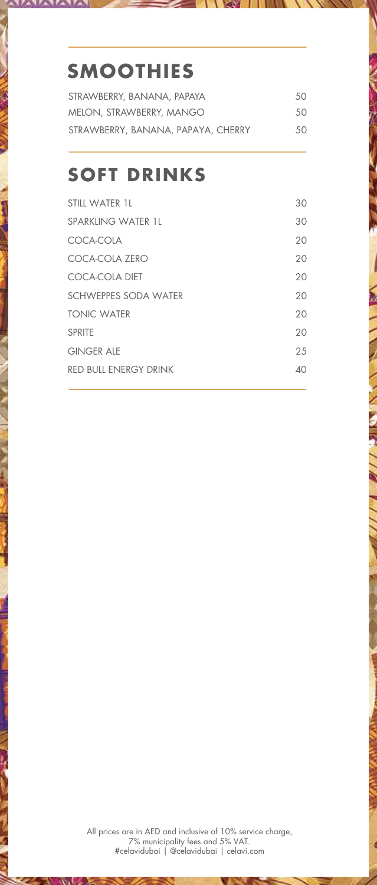# **SMOOTHIES**

| strawberry, banana, papaya         | .50 |
|------------------------------------|-----|
| melon, strawberry, mango           | .50 |
| STRAWBERRY, BANANA, PAPAYA, CHERRY | .50 |

### **SOFT DRINKS**

| STILL WATER 1L               | 30 |
|------------------------------|----|
| SPARKLING WATER 1L           | 30 |
| COCA-COLA                    | 20 |
| COCA-COLA ZERO               | 20 |
| COCA-COLA DIET               | 20 |
| <b>SCHWEPPES SODA WATER</b>  | 20 |
| <b>TONIC WATER</b>           | 20 |
| SPRITE                       | 20 |
| <b>GINGER ALE</b>            | 25 |
| <b>RED BULL ENERGY DRINK</b> | 40 |
|                              |    |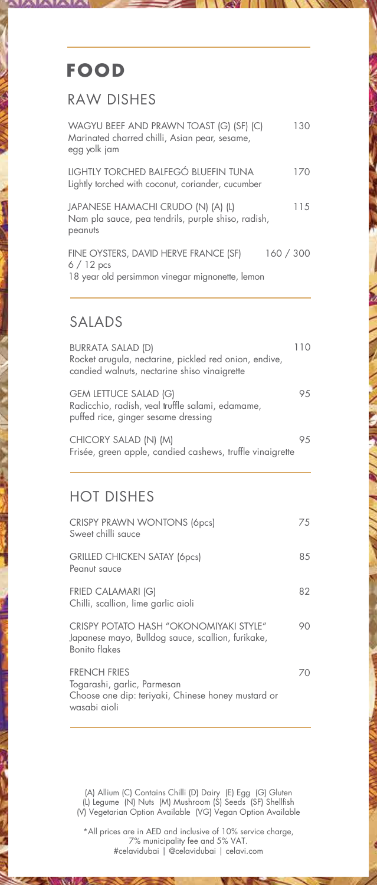#### **FOOD**

#### RAW DISHES

| WAGYU BEEF AND PRAWN TOAST (G) (SF) (C)<br>Marinated charred chilli, Asian pear, sesame,<br>egg yolk jam            | 130 |
|---------------------------------------------------------------------------------------------------------------------|-----|
| LIGHTLY TORCHED BALFEGÓ BLUEFIN TUNA<br>Lightly torched with coconut, coriander, cucumber                           | 170 |
| JAPANESE HAMACHI CRUDO (N) (A) (L)<br>Nam pla sauce, pea tendrils, purple shiso, radish,<br>peanuts                 | 115 |
| FINE OYSTERS, DAVID HERVE FRANCE (SF)<br>160 / 300<br>$6/12$ pcs<br>18 year old persimmon vinegar mignonette, lemon |     |

#### **SALADS**

| <b>BURRATA SALAD (D)</b><br>Rocket arugula, nectarine, pickled red onion, endive,<br>candied walnuts, nectarine shiso vinaigrette |     |
|-----------------------------------------------------------------------------------------------------------------------------------|-----|
| <b>GEM LETTUCE SALAD (G)</b><br>Radicchio, radish, veal truffle salami, edamame,<br>puffed rice, ginger sesame dressing           | 9.5 |
| CHICORY SALAD (N) (M)<br>Frisée, green apple, candied cashews, truffle vinaigrette                                                | 95  |

#### HOT DISHES

| CRISPY PRAWN WONTONS (6pcs)<br>Sweet chilli sauce                                                                        | 75 |
|--------------------------------------------------------------------------------------------------------------------------|----|
| <b>GRILLED CHICKEN SATAY (6pcs)</b><br>Peanut sauce                                                                      | 85 |
| <b>FRIED CALAMARI (G)</b><br>Chilli, scallion, lime garlic aioli                                                         | 82 |
| CRISPY POTATO HASH "OKONOMIYAKI STYLE"<br>Japanese mayo, Bulldog sauce, scallion, furikake,<br><b>Bonito flakes</b>      | 90 |
| <b>FRENCH FRIES</b><br>Togarashi, garlic, Parmesan<br>Choose one dip: teriyaki, Chinese honey mustard or<br>wasabi aioli | 70 |

(A) Allium (C) Contains Chilli (D) Dairy (E) Egg (G) Gluten (L) Legume (N) Nuts (M) Mushroom (S) Seeds (SF) Shellfish (V) Vegetarian Option Available (VG) Vegan Option Available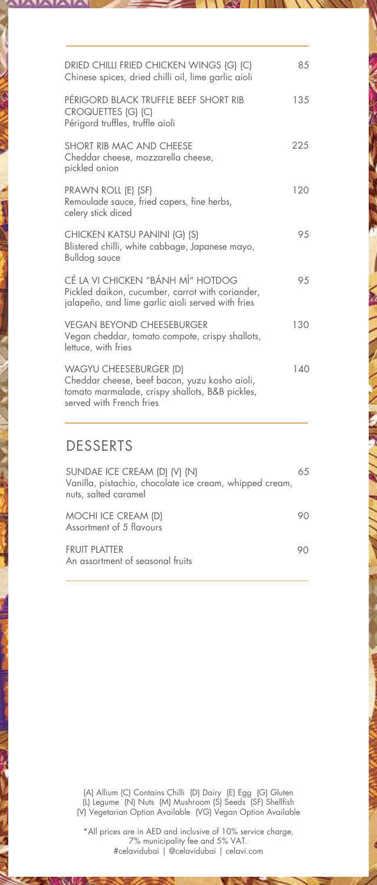| DRIED CHILLI FRIED CHICKEN WINGS (G) (C)<br>Chinese spices, dried chilli oil, lime garlic aioli                                                               | 8.5 |
|---------------------------------------------------------------------------------------------------------------------------------------------------------------|-----|
| PÉRIGORD BLACK TRUFFLE BEEF SHORT RIB<br>CROQUETTES (G) (C)<br>Périgord truffles, truffle aioli                                                               | 135 |
| SHORT RIB MAC AND CHEESE<br>Cheddar cheese, mozzarella cheese,<br>pickled onion                                                                               | 225 |
| PRAWN ROLL (E) (SF)<br>Remoulade sauce, fried capers, fine herbs,<br>celery stick diced                                                                       | 120 |
| CHICKEN KATSU PANINI (G) (S)<br>Blistered chilli, white cabbage, Japanese mayo,<br><b>Bulldog sauce</b>                                                       | 95  |
| CÉ LA VI CHICKEN "BÁNH MÌ" HOTDOG<br>Pickled daikon, cucumber, carrot with coriander,<br>jalapeño, and lime garlic aioli served with fries                    | 95  |
| <b>VEGAN BEYOND CHEESEBURGER</b><br>Vegan cheddar, tomato compote, crispy shallots,<br>lettuce, with fries                                                    | 130 |
| <b>WAGYU CHEESEBURGER (D)</b><br>Cheddar cheese, beef bacon, yuzu kosho aioli,<br>tomato marmalade, crispy shallots, B&B pickles,<br>served with French fries | 140 |
|                                                                                                                                                               |     |

A MARINE

#### DESSERTS

| SUNDAE ICE CREAM (D) (V) (N)<br>Vanilla, pistachio, chocolate ice cream, whipped cream,<br>nuts, salted caramel | 65 |
|-----------------------------------------------------------------------------------------------------------------|----|
| MOCHI ICE CREAM (D)<br>Assortment of 5 flavours                                                                 |    |
| <b>FRUIT PLATTER</b><br>An assortment of seasonal fruits                                                        |    |

(A) Allium (C) Contains Chilli (D) Dairy (E) Egg (G) Gluten (L) Legume (N) Nuts (M) Mushroom (S) Seeds (SF) Shellfish (V) Vegetarian Option Available (VG) Vegan Option Available